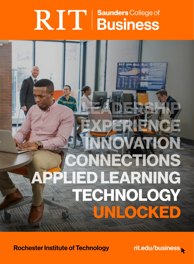# RIT | Saunders College of

# TECHNOLOGY **HED LEARNING** ONNECTIONS INNOVATION EXPERIENCE LEADERSHIP UNLOCKED

Rochester Institute of Technology

[rit.edu/business](https://saunders.rit.edu/)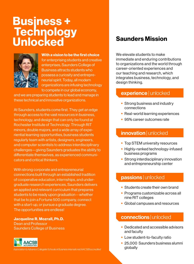### Business + Technology Unlocked



With a vision to be the first choice

for enterprising students and creative enterprises, Saunders College of Business attracts students who possess a curiosity and entrepreneurial spirit. Today, all modern organizations are infusing technology to compete in our global economy,

and we are preparing students to lead and manage in these technical and innovative organizations.

At Saunders, students come first. They get an edge through access to the vast resources in business, technology, and design that can only be found at Rochester Institute of Technology. Through RIT minors, double majors, and a wide array of experiential learning opportunities, business students regularly team with artists, designers, engineers, and computer scientists to address interdisciplinary challenges—giving Saunders graduates the ability to differentiate themselves, as experienced communicators and critical thinkers.

With strong corporate and entrepreneurial connections built through an established tradition of cooperative education, internships, and undergraduate research experiences, Saunders delivers an applied and relevant curriculum that prepares students to be ready upon graduation—whether that be to join a Fortune 500 company, connect with a start-up, or pursue a graduate degree. The opportunities are endless!

Jacqueline R. Mozrall, Ph.D. Dean and Professor Saunders College of Business



*Association to Advance Collegiate Schools of Business International (AACSB) accredited*

### Saunders Mission

We elevate students to make immediate and enduring contributions to organizations and the world through career-oriented experiences and our teaching and research, which integrates business, technology, and design thinking.

### experience | unlocked

- Strong business and industry connections
- Real-world learning experiences
- 95% career outcomes rate

### innovation | unlocked

- Top STEM university resources
- Highly-ranked technology-infused business programs
- Strong interdisciplinary innovation and entrepreneurship center

### passions | unlocked

- Students create their own brand
- Programs customizable across all nine RIT colleges
- § Global campuses and resources

### connections | unlocked

- Dedicated and accessible advisors and faculty
- Low student-to-faculty ratio
- 25,000 Saunders business alumni globally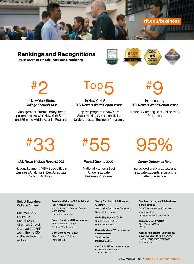

### Rankings and Recognitions

Learn more at **rit.edu/business-rankings**



#2

### in New York State, *College Factual 2022*

Management information systems program ranks #2 in New York State and #5 in the Middle Atlantic Regions.

## Top5

#### in New York State, *U.S. News & World Report 2022*

Top five program in New York State, ranking #75 nationally for Undergraduate Business Programs.

### in the nation, *U.S. News & World Report 2022*

Nationally, among Best Online MBA Programs.

#### *U.S. News & World Report 2022*

Nationally, among MBA Specialties in Business Analytics in Best Graduate School Rankings.



#### *Poets&Quants 2022*

Nationally, among Best Undergraduate Business Programs.

# #33 #55 95%

### *Career Outcomes Rate*

Inclusive of undergraduate and graduate students, six months after graduation.

#### Select Saunders College Alumni

Nearly 25,000 **Saunders** alumni, 10% of whom are C-level. Over 136,000 RIT alumni from all 50 states and over 100 nations.

Anastasia Callahan '90 (hotel and resort management) Vice President, Franchise Account Management

Marriott International Robert Dandrea '81 (food service)

Chief Marketing Officer Tracfone Wireless Inc.

Mark Doheny '98 (MBA) Chief Financial Officer Transcat, Inc.

Sandy Dominach '87 (finance); '95 (MBA) Senior Vice President & Treasurer

Constellation Brands

Ondrej Frydrych '97 (MBA) Chief Executive Officer Home Credit China

Karen Goldman '78 (food service administration) Vice President Barclays Capital

Jim Gould MS '85 (accounting) Founder and President Alesco Advisors

#### Stephen Harrington '93 (business administration)

Chief Procurement Officer, Senior Vice President Delaware North Companies Inc.

Betty Noonan '97 (MBA) Chief Growth Officer nVent

Aparna Ramesh MS '98 (finance) Executive Vice President & CFO Federal Agricultural Mortgage Corporation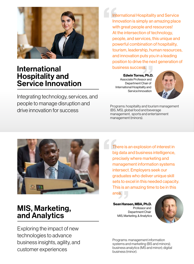

### International Hospitality and Service Innovation

Integrating technology, services, and people to manage disruption and drive innovation for success

International Hospitality and Service Innovation is simply an amazing place with great people and resources! At the intersection of technology, people, and services, this unique and powerful combination of hospitality, tourism, leadership, human resources, and innovation puts you in a leading position to drive the next generation of business success. International<br>
International<br>
At<br>
De

Edwin Torres, Ph.D. Associate Professor and Department Chair of International Hospitality and Service Innovation



Programs: hospitality and tourism management (BS, MS), global food and beverage management, sports and entertainment management (minors).



### MIS, Marketing, and Analytics

Exploring the impact of new technologies to advance business insights, agility, and customer experiences

There is an explosion of interest in big data and business intelligence, precisely where marketing and management information systems intersect. Employers seek our graduates who deliver unique skill sets to excel in this needed capacity.<br>This is an amazing time to be in this<br>area. This is an amazing time to be in this area. Th<br>big<br>pre<br>ma<br>int

> Sean Hansen, MBA, Ph.D. Professor and Department Chair MIS, Marketing, & Analytics



Programs: management information systems and marketing (BS and minors); business analytics (MS and minor); digital business (minor).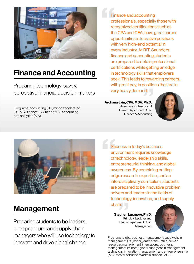

### Finance and Accounting

Preparing technology-savvy, perceptive financial decision-makers

Programs: accounting (BS, minor, accelerated BS/MS); finance (BS, minor, MS); accounting and analytics (MS).

Finance and accounting professionals, especially those with recognized certifications such as the CPA and CFA, have great career opportunities in lucrative positions with very high-end potential in every industry. At RIT, Saunders finance and accounting students are prepared to obtain professional certifications while getting an edge in technology skills that employers seek. This leads to rewarding careers, with great pay, in positions that are in very heavy demand. Firm<br>
prove<br>
the op prewa<br>positio<br>nd.

Archana Jain, CPA, MBA, Ph.D. Associate Professor and Interim Department Chair Finance & Accounting





Management

Preparing students to be leaders, entrepreneurs, and supply chain managers who will use technology to innovate and drive global change

Su<br>
env<br>
of t<br>
ent<br>
aw Success in today's business environment requires knowledge of technology, leadership skills, entrepreneurial thinking, and global awareness. By combining cuttingedge research, expertise, and an interdisciplinary curriculum, students are prepared to be innovative problem solvers and leaders in the fields of technology, innovation, and supply chain.

> Stephen Luxmore, Ph.D. Principal Lecturer and Interim Department Chair Management



Programs: global business management, supply chain management (BS, minor); entrepreneurship, human resources management, international business, management (minors); global supply chain management, technology innovation management and entrepreneurship (MS); master of business administration (MBA).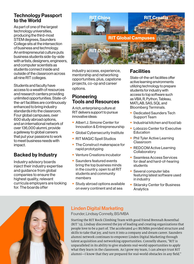### Technology Passport to the World

As part of one of the largest technology universities, producing the third-most STEM degrees, Saunders College sits at the intersection of business and technology. An entrepreneurial culture puts business students side-by-side with artists, designers, engineers, and computer scientists as students connect inside and outside of the classroom across all nine RIT colleges.

Students and faculty have access to a wealth of resources and research centers providing unlimited opportunities. State-ofthe-art facilities are continuously enhanced to bring industry standards into the classroom. Four global campuses, over 600 study abroad options, and an international network of over 136,000 alumni, provide a gateway to global careers that put your passions to work to meet business needs with impact.

### Backed by Industry

Industry advisory boards inject their industry expertise and guidance from global companies to ensure the highest quality, relevant curricula employers are looking for. The boards offer



industry access, experience, mentorship and networking opportunities; plus, capstone projects, co-op and career options.

### Pioneering Tools and Resources

A rich, enterprising culture at RIT delivers support to pursue innovative ideas:

- Albert J. Simone Center for Innovation & Entrepreneurship
- Global Cybersecurity Institute
- RIT MAGIC Spell Studios
- The Construct makerspace for rapid prototyping
- Venture Creations incubator
- Saunders featured events bring the top business minds in the country, open to all RIT students and community members
- Study abroad options available on every continent and at sea

### **Facilities**

State-of-the-art facilities offer active learning environments utilizing technology to prepare students for industry with access to top software such as VBA, R, Python, Tableau, MATLAB, SAS, SQL and Bloomberg Terminals.

- Dedicated Saunders Tech Support Team
- Industrial kitchen and food lab
- Lobozzo Center for Executive **Education**
- Phil Tyler Active Learning Classroom
- REDCOM Active Learning **Collaboratory**
- Seamless Access Services for deaf and hard-of-hearing students
- Several computer labs featuring latest software used in industry
- Sklarsky Center for Business Analytics



### Linden Digital Marketing

Founder, Lindsay Connelly, BS/MBA

Starting the RIT Rock Climbing Team with good friend Brennah Rosenthal (RIT '13), Lindsay discovered the joy of leading and creating organizations that people love to be a part of. The accelerated 4+1 BS/MBA provided structure and skills to take that joy, and turn it into a company and dream career. Saunders alumni network continues to empower Linden Digital Marketing through talent acquisition and networking opportunities. Connelly shares, "RIT is unparalleled in its ability to give students real-world opportunities to apply what they learn in the classroom. As I grow my team, I can always trust RIT alumni—I know that they are prepared for real-world obstacles in any field."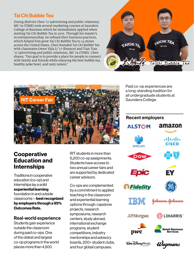### Tai Chi Bubble Tea

Zining (Kelvin) Chen '17 (advertising and public relations), MS '19 (TIME) took several marketing courses at Saunders College of Business which he immediately applied when starting Tai Chi Bubble Tea in 2015. Through his master's in entrepreneurship, he refined their business practices, which helped him grow Tai Chi Bubble Tea to 14 stores across the United States. Chen founded Tai Chi Bubble Tea with classmates Owen Yijia Li '17 (finance) and Tian Tian '17 (advertising and public relations), MS '19 (TIME). Chen shares, "Our goal is to provide a place for people to connect with family and friends while enjoying the best bubble tea, healthy poke bowl, and tasty ramen."





### **Cooperative** Education and Internships

Traditions in cooperative education (co-op) and internships lay a solid experiential learning foundation in and outside classrooms—best recognized by employers through a 95% Outcomes Rate.

### Real-world experience

Students gain experience outside the classroom during paid co-ops. One of the oldest and largest co-op programs in the world places more than 4,500

RIT students in more than 6,200 co-op assignments. Students have access to two annual career fairs and are supported by dedicated career advisors.

Co-ops are complemented by a commitment to applied teaching in the classroom and experiential learning options through: capstone projects, research symposiums, research centers, study abroad, international exchange programs, student competitions, industry mentorships and advisory boards, 200+ student clubs, and four global campuses.

Paid co-op experiences are a long-standing tradition for all undergraduate students at Saunders College.

### Recent employers